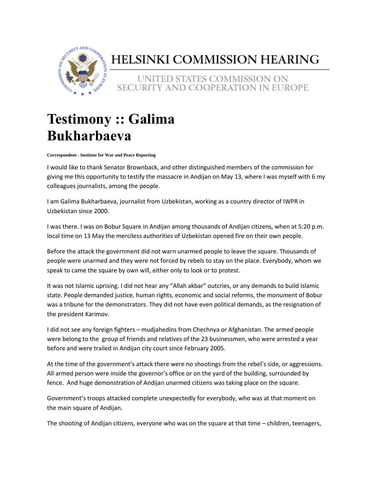

## HELSINKI COMMISSION HEARING

## UNITED STATES COMMISSION ON SECURITY AND COOPERATION IN EUROPE

## **Testimony :: Galima Bukharbaeva**

**Correspondent - Institute for War and Peace Reporting**

I would like to thank Senator Brownback, and other distinguished members of the commission for giving me this opportunity to testify the massacre in Andijan on May 13, where I was myself with 6 my colleagues journalists, among the people.

I am Galima Bukharbaeva, journalist from Uzbekistan, working as a country director of IWPR in Uzbekistan since 2000.

I was there. I was on Bobur Square in Andijan among thousands of Andijan citizens, when at 5:20 p.m. local time on 13 May the merciless authorities of Uzbekistan opened fire on their own people.

Before the attack the government did not warn unarmed people to leave the square. Thousands of people were unarmed and they were not forced by rebels to stay on the place. Everybody, whom we speak to came the square by own will, either only to look or to protest.

It was not Islamic uprising. I did not hear any "Allah akbar" outcries, or any demands to build Islamic state. People demanded justice, human rights, economic and social reforms, the monument of Bobur was a tribune for the demonstrators. They did not have even political demands, as the resignation of the president Karimov.

I did not see any foreign fighters – mudjahedins from Chechnya or Afghanistan. The armed people were belong to the group of friends and relatives of the 23 businessmen, who were arrested a year before and were trailed in Andijan city court since February 2005.

At the time of the government's attack there were no shootings from the rebel's side, or aggressions. All armed person were inside the governor's office or on the yard of the building, surrounded by fence. And huge demonstration of Andijan unarmed citizens was taking place on the square.

Government's troops attacked complete unexpectedly for everybody, who was at that moment on the main square of Andijan.

The shooting of Andijan citizens, everyone who was on the square at that time – children, teenagers,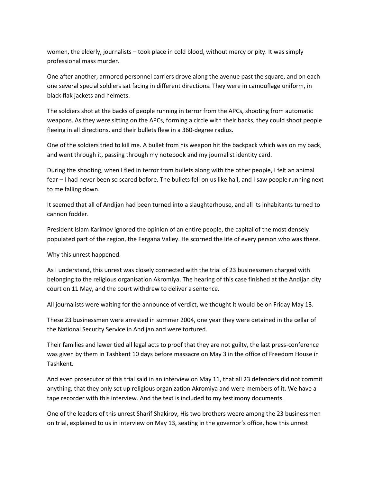women, the elderly, journalists – took place in cold blood, without mercy or pity. It was simply professional mass murder.

One after another, armored personnel carriers drove along the avenue past the square, and on each one several special soldiers sat facing in different directions. They were in camouflage uniform, in black flak jackets and helmets.

The soldiers shot at the backs of people running in terror from the APCs, shooting from automatic weapons. As they were sitting on the APCs, forming a circle with their backs, they could shoot people fleeing in all directions, and their bullets flew in a 360-degree radius.

One of the soldiers tried to kill me. A bullet from his weapon hit the backpack which was on my back, and went through it, passing through my notebook and my journalist identity card.

During the shooting, when I fled in terror from bullets along with the other people, I felt an animal fear – I had never been so scared before. The bullets fell on us like hail, and I saw people running next to me falling down.

It seemed that all of Andijan had been turned into a slaughterhouse, and all its inhabitants turned to cannon fodder.

President Islam Karimov ignored the opinion of an entire people, the capital of the most densely populated part of the region, the Fergana Valley. He scorned the life of every person who was there.

Why this unrest happened.

As I understand, this unrest was closely connected with the trial of 23 businessmen charged with belonging to the religious organisation Akromiya. The hearing of this case finished at the Andijan city court on 11 May, and the court withdrew to deliver a sentence.

All journalists were waiting for the announce of verdict, we thought it would be on Friday May 13.

These 23 businessmen were arrested in summer 2004, one year they were detained in the cellar of the National Security Service in Andijan and were tortured.

Their families and lawer tied all legal acts to proof that they are not guilty, the last press-conference was given by them in Tashkent 10 days before massacre on May 3 in the office of Freedom House in Tashkent.

And even prosecutor of this trial said in an interview on May 11, that all 23 defenders did not commit anything, that they only set up religious organization Akromiya and were members of it. We have a tape recorder with this interview. And the text is included to my testimony documents.

One of the leaders of this unrest Sharif Shakirov, His two brothers weere among the 23 businessmen on trial, explained to us in interview on May 13, seating in the governor's office, how this unrest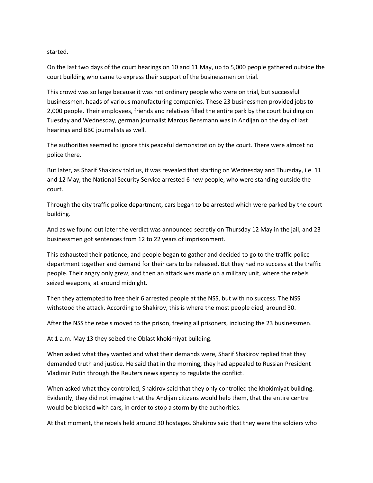## started.

On the last two days of the court hearings on 10 and 11 May, up to 5,000 people gathered outside the court building who came to express their support of the businessmen on trial.

This crowd was so large because it was not ordinary people who were on trial, but successful businessmen, heads of various manufacturing companies. These 23 businessmen provided jobs to 2,000 people. Their employees, friends and relatives filled the entire park by the court building on Tuesday and Wednesday, german journalist Marcus Bensmann was in Andijan on the day of last hearings and BBC journalists as well.

The authorities seemed to ignore this peaceful demonstration by the court. There were almost no police there.

But later, as Sharif Shakirov told us, it was revealed that starting on Wednesday and Thursday, i.e. 11 and 12 May, the National Security Service arrested 6 new people, who were standing outside the court.

Through the city traffic police department, cars began to be arrested which were parked by the court building.

And as we found out later the verdict was announced secretly on Thursday 12 May in the jail, and 23 businessmen got sentences from 12 to 22 years of imprisonment.

This exhausted their patience, and people began to gather and decided to go to the traffic police department together and demand for their cars to be released. But they had no success at the traffic people. Their angry only grew, and then an attack was made on a military unit, where the rebels seized weapons, at around midnight.

Then they attempted to free their 6 arrested people at the NSS, but with no success. The NSS withstood the attack. According to Shakirov, this is where the most people died, around 30.

After the NSS the rebels moved to the prison, freeing all prisoners, including the 23 businessmen.

At 1 a.m. May 13 they seized the Oblast khokimiyat building.

When asked what they wanted and what their demands were, Sharif Shakirov replied that they demanded truth and justice. He said that in the morning, they had appealed to Russian President Vladimir Putin through the Reuters news agency to regulate the conflict.

When asked what they controlled, Shakirov said that they only controlled the khokimiyat building. Evidently, they did not imagine that the Andijan citizens would help them, that the entire centre would be blocked with cars, in order to stop a storm by the authorities.

At that moment, the rebels held around 30 hostages. Shakirov said that they were the soldiers who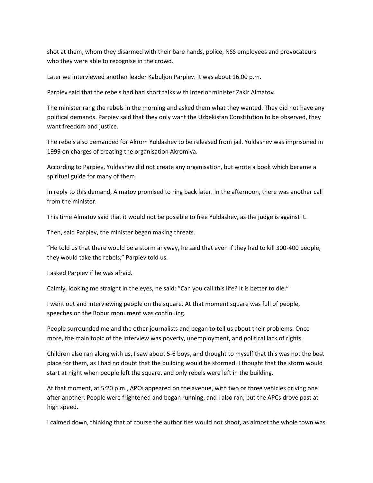shot at them, whom they disarmed with their bare hands, police, NSS employees and provocateurs who they were able to recognise in the crowd.

Later we interviewed another leader Kabuljon Parpiev. It was about 16.00 p.m.

Parpiev said that the rebels had had short talks with Interior minister Zakir Almatov.

The minister rang the rebels in the morning and asked them what they wanted. They did not have any political demands. Parpiev said that they only want the Uzbekistan Constitution to be observed, they want freedom and justice.

The rebels also demanded for Akrom Yuldashev to be released from jail. Yuldashev was imprisoned in 1999 on charges of creating the organisation Akromiya.

According to Parpiev, Yuldashev did not create any organisation, but wrote a book which became a spiritual guide for many of them.

In reply to this demand, Almatov promised to ring back later. In the afternoon, there was another call from the minister.

This time Almatov said that it would not be possible to free Yuldashev, as the judge is against it.

Then, said Parpiev, the minister began making threats.

"He told us that there would be a storm anyway, he said that even if they had to kill 300-400 people, they would take the rebels," Parpiev told us.

I asked Parpiev if he was afraid.

Calmly, looking me straight in the eyes, he said: "Can you call this life? It is better to die."

I went out and interviewing people on the square. At that moment square was full of people, speeches on the Bobur monument was continuing.

People surrounded me and the other journalists and began to tell us about their problems. Once more, the main topic of the interview was poverty, unemployment, and political lack of rights.

Children also ran along with us, I saw about 5-6 boys, and thought to myself that this was not the best place for them, as I had no doubt that the building would be stormed. I thought that the storm would start at night when people left the square, and only rebels were left in the building.

At that moment, at 5:20 p.m., APCs appeared on the avenue, with two or three vehicles driving one after another. People were frightened and began running, and I also ran, but the APCs drove past at high speed.

I calmed down, thinking that of course the authorities would not shoot, as almost the whole town was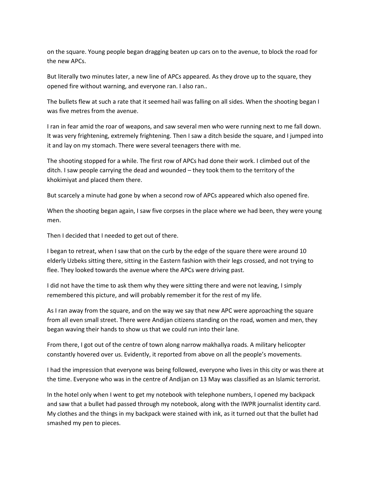on the square. Young people began dragging beaten up cars on to the avenue, to block the road for the new APCs.

But literally two minutes later, a new line of APCs appeared. As they drove up to the square, they opened fire without warning, and everyone ran. I also ran..

The bullets flew at such a rate that it seemed hail was falling on all sides. When the shooting began I was five metres from the avenue.

I ran in fear amid the roar of weapons, and saw several men who were running next to me fall down. It was very frightening, extremely frightening. Then I saw a ditch beside the square, and I jumped into it and lay on my stomach. There were several teenagers there with me.

The shooting stopped for a while. The first row of APCs had done their work. I climbed out of the ditch. I saw people carrying the dead and wounded – they took them to the territory of the khokimiyat and placed them there.

But scarcely a minute had gone by when a second row of APCs appeared which also opened fire.

When the shooting began again, I saw five corpses in the place where we had been, they were young men.

Then I decided that I needed to get out of there.

I began to retreat, when I saw that on the curb by the edge of the square there were around 10 elderly Uzbeks sitting there, sitting in the Eastern fashion with their legs crossed, and not trying to flee. They looked towards the avenue where the APCs were driving past.

I did not have the time to ask them why they were sitting there and were not leaving, I simply remembered this picture, and will probably remember it for the rest of my life.

As I ran away from the square, and on the way we say that new APC were approaching the square from all even small street. There were Andijan citizens standing on the road, women and men, they began waving their hands to show us that we could run into their lane.

From there, I got out of the centre of town along narrow makhallya roads. A military helicopter constantly hovered over us. Evidently, it reported from above on all the people's movements.

I had the impression that everyone was being followed, everyone who lives in this city or was there at the time. Everyone who was in the centre of Andijan on 13 May was classified as an Islamic terrorist.

In the hotel only when I went to get my notebook with telephone numbers, I opened my backpack and saw that a bullet had passed through my notebook, along with the IWPR journalist identity card. My clothes and the things in my backpack were stained with ink, as it turned out that the bullet had smashed my pen to pieces.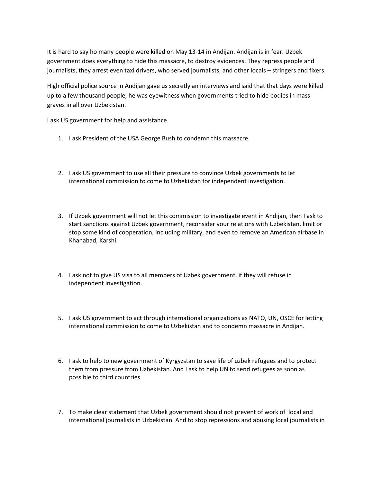It is hard to say ho many people were killed on May 13-14 in Andijan. Andijan is in fear. Uzbek government does everything to hide this massacre, to destroy evidences. They repress people and journalists, they arrest even taxi drivers, who served journalists, and other locals – stringers and fixers.

High official police source in Andijan gave us secretly an interviews and said that that days were killed up to a few thousand people, he was eyewitness when governments tried to hide bodies in mass graves in all over Uzbekistan.

I ask US government for help and assistance.

- 1. I ask President of the USA George Bush to condemn this massacre.
- 2. I ask US government to use all their pressure to convince Uzbek governments to let international commission to come to Uzbekistan for independent investigation.
- 3. If Uzbek government will not let this commission to investigate event in Andijan, then I ask to start sanctions against Uzbek government, reconsider your relations with Uzbekistan, limit or stop some kind of cooperation, including military, and even to remove an American airbase in Khanabad, Karshi.
- 4. I ask not to give US visa to all members of Uzbek government, if they will refuse in independent investigation.
- 5. I ask US government to act through international organizations as NATO, UN, OSCE for letting international commission to come to Uzbekistan and to condemn massacre in Andijan.
- 6. I ask to help to new government of Kyrgyzstan to save life of uzbek refugees and to protect them from pressure from Uzbekistan. And I ask to help UN to send refugees as soon as possible to third countries.
- 7. To make clear statement that Uzbek government should not prevent of work of local and international journalists in Uzbekistan. And to stop repressions and abusing local journalists in